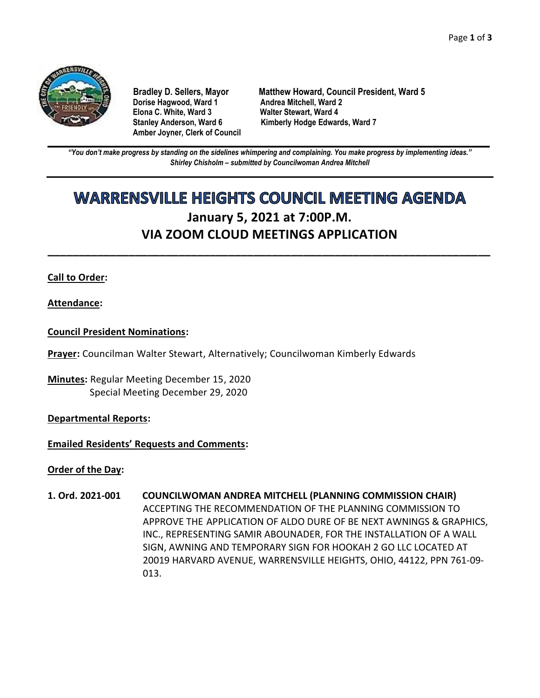

**Dorise Hagwood, Ward 1 Elona C. White, Ward 3 Walter Stewart, Ward 4 Amber Joyner, Clerk of Council**

**Bradley D. Sellers, Mayor Matthew Howard, Council President, Ward 5** Stanley Anderson, Ward 6 Kimberly Hodge Edwards, Ward 7

**\_\_\_\_\_\_\_\_\_\_\_\_\_\_\_\_\_\_\_\_\_\_\_\_\_\_\_\_\_\_\_\_\_\_\_\_\_\_\_\_\_\_\_\_\_\_\_\_\_\_\_\_\_\_\_\_\_\_\_\_\_\_\_\_\_\_\_\_\_\_\_\_\_\_\_\_\_\_\_\_\_\_\_\_\_\_\_\_\_\_\_\_\_\_\_\_\_\_\_\_\_\_\_\_\_\_\_\_\_\_** *"You don't make progress by standing on the sidelines whimpering and complaining. You make progress by implementing ideas." Shirley Chisholm – submitted by Councilwoman Andrea Mitchell*

# **WARRENSVILLE HEIGHTS COUNCIL MEETING AGENDA January 5, 2021 at 7:00P.M. VIA ZOOM CLOUD MEETINGS APPLICATION**

**\_\_\_\_\_\_\_\_\_\_\_\_\_\_\_\_\_\_\_\_\_\_\_\_\_\_\_\_\_\_\_\_\_\_\_\_\_\_\_\_\_\_\_\_\_\_\_\_\_\_\_\_\_\_\_\_\_\_\_\_\_\_\_\_\_\_\_\_\_\_\_**

## **Call to Order:**

## **Attendance:**

## **Council President Nominations:**

**Prayer:** Councilman Walter Stewart, Alternatively; Councilwoman Kimberly Edwards

**Minutes:** Regular Meeting December 15, 2020 Special Meeting December 29, 2020

#### **Departmental Reports:**

#### **Emailed Residents' Requests and Comments:**

**Order of the Day:**

**1. Ord. 2021-001 COUNCILWOMAN ANDREA MITCHELL (PLANNING COMMISSION CHAIR)** ACCEPTING THE RECOMMENDATION OF THE PLANNING COMMISSION TO APPROVE THE APPLICATION OF ALDO DURE OF BE NEXT AWNINGS & GRAPHICS, INC., REPRESENTING SAMIR ABOUNADER, FOR THE INSTALLATION OF A WALL SIGN, AWNING AND TEMPORARY SIGN FOR HOOKAH 2 GO LLC LOCATED AT 20019 HARVARD AVENUE, WARRENSVILLE HEIGHTS, OHIO, 44122, PPN 761-09- 013.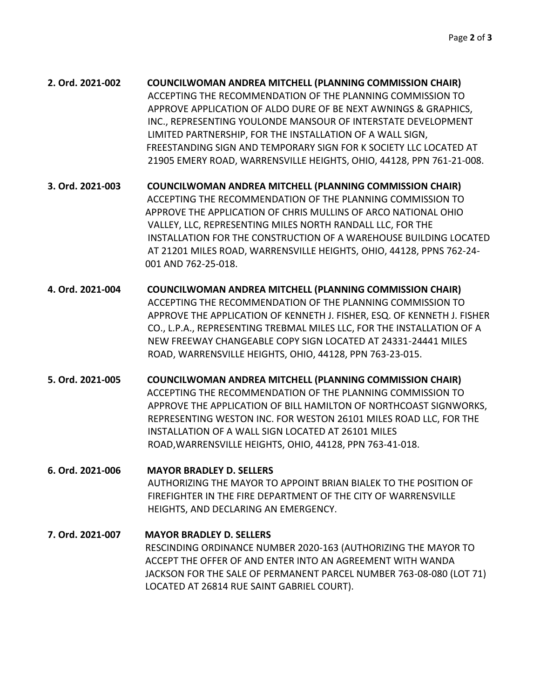| 2. Ord. 2021-002 | <b>COUNCILWOMAN ANDREA MITCHELL (PLANNING COMMISSION CHAIR)</b>      |
|------------------|----------------------------------------------------------------------|
|                  | ACCEPTING THE RECOMMENDATION OF THE PLANNING COMMISSION TO           |
|                  | APPROVE APPLICATION OF ALDO DURE OF BE NEXT AWNINGS & GRAPHICS,      |
|                  | INC., REPRESENTING YOULONDE MANSOUR OF INTERSTATE DEVELOPMENT        |
|                  | LIMITED PARTNERSHIP, FOR THE INSTALLATION OF A WALL SIGN,            |
|                  | FREESTANDING SIGN AND TEMPORARY SIGN FOR K SOCIETY LLC LOCATED AT    |
|                  | 21905 EMERY ROAD, WARRENSVILLE HEIGHTS, OHIO, 44128, PPN 761-21-008. |

**3. Ord. 2021-003 COUNCILWOMAN ANDREA MITCHELL (PLANNING COMMISSION CHAIR)** ACCEPTING THE RECOMMENDATION OF THE PLANNING COMMISSION TO APPROVE THE APPLICATION OF CHRIS MULLINS OF ARCO NATIONAL OHIO VALLEY, LLC, REPRESENTING MILES NORTH RANDALL LLC, FOR THE INSTALLATION FOR THE CONSTRUCTION OF A WAREHOUSE BUILDING LOCATED AT 21201 MILES ROAD, WARRENSVILLE HEIGHTS, OHIO, 44128, PPNS 762-24- 001 AND 762-25-018.

- **4. Ord. 2021-004 COUNCILWOMAN ANDREA MITCHELL (PLANNING COMMISSION CHAIR)** ACCEPTING THE RECOMMENDATION OF THE PLANNING COMMISSION TO APPROVE THE APPLICATION OF KENNETH J. FISHER, ESQ. OF KENNETH J. FISHER CO., L.P.A., REPRESENTING TREBMAL MILES LLC, FOR THE INSTALLATION OF A NEW FREEWAY CHANGEABLE COPY SIGN LOCATED AT 24331-24441 MILES ROAD, WARRENSVILLE HEIGHTS, OHIO, 44128, PPN 763-23-015.
- **5. Ord. 2021-005 COUNCILWOMAN ANDREA MITCHELL (PLANNING COMMISSION CHAIR)** ACCEPTING THE RECOMMENDATION OF THE PLANNING COMMISSION TO APPROVE THE APPLICATION OF BILL HAMILTON OF NORTHCOAST SIGNWORKS, REPRESENTING WESTON INC. FOR WESTON 26101 MILES ROAD LLC, FOR THE INSTALLATION OF A WALL SIGN LOCATED AT 26101 MILES ROAD,WARRENSVILLE HEIGHTS, OHIO, 44128, PPN 763-41-018.

**6. Ord. 2021-006 MAYOR BRADLEY D. SELLERS** AUTHORIZING THE MAYOR TO APPOINT BRIAN BIALEK TO THE POSITION OF FIREFIGHTER IN THE FIRE DEPARTMENT OF THE CITY OF WARRENSVILLE HEIGHTS, AND DECLARING AN EMERGENCY.

**7. Ord. 2021-007 MAYOR BRADLEY D. SELLERS** RESCINDING ORDINANCE NUMBER 2020-163 (AUTHORIZING THE MAYOR TO ACCEPT THE OFFER OF AND ENTER INTO AN AGREEMENT WITH WANDA JACKSON FOR THE SALE OF PERMANENT PARCEL NUMBER 763-08-080 (LOT 71) LOCATED AT 26814 RUE SAINT GABRIEL COURT).